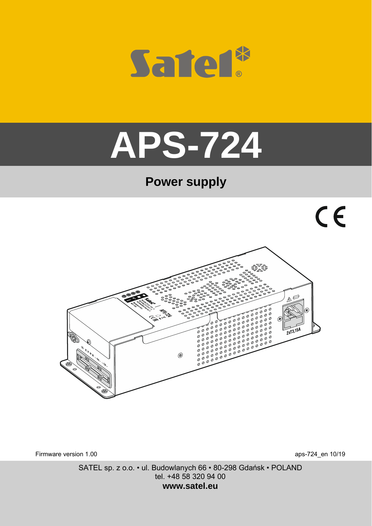

# **APS-724**

# **Power supply**



Firmware version 1.00 aps-724\_en 10/19

SATEL sp. z o.o. • ul. Budowlanych 66 • 80-298 Gdańsk • POLAND tel. +48 58 320 94 00 **www.satel.eu**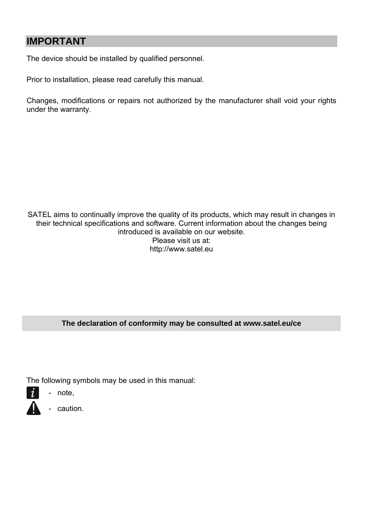### **IMPORTANT**

The device should be installed by qualified personnel.

Prior to installation, please read carefully this manual.

Changes, modifications or repairs not authorized by the manufacturer shall void your rights under the warranty.

SATEL aims to continually improve the quality of its products, which may result in changes in their technical specifications and software. Current information about the changes being introduced is available on our website. Please visit us at: http://www.satel.eu

#### **The declaration of conformity may be consulted at www.satel.eu/ce**

The following symbols may be used in this manual:

- note,
	- caution.
-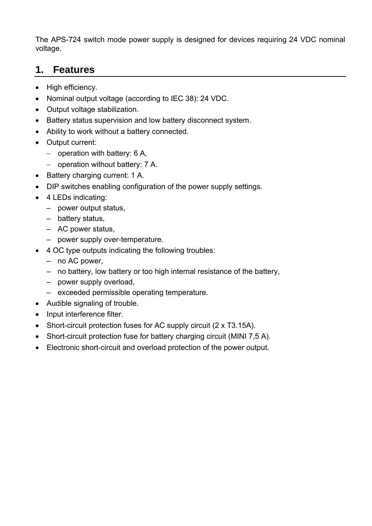The APS-724 switch mode power supply is designed for devices requiring 24 VDC nominal voltage.

#### **1. Features**

- High efficiency.
- Nominal output voltage (according to IEC 38): 24 VDC.
- Output voltage stabilization.
- Battery status supervision and low battery disconnect system.
- Ability to work without a battery connected.
- Output current:
	- $-$  operation with battery: 6 A,
	- $-$  operation without battery: 7 A.
- Battery charging current: 1 A.
- DIP switches enabling configuration of the power supply settings.
- 4 LEDs indicating:
	- power output status,
	- battery status,
	- AC power status,
	- power supply over-temperature.
- 4 OC type outputs indicating the following troubles:
	- no AC power,
	- no battery, low battery or too high internal resistance of the battery,
	- power supply overload,
	- exceeded permissible operating temperature.
- Audible signaling of trouble.
- Input interference filter.
- Short-circuit protection fuses for AC supply circuit (2 x T3.15A).
- Short-circuit protection fuse for battery charging circuit (MINI 7,5 A).
- Electronic short-circuit and overload protection of the power output.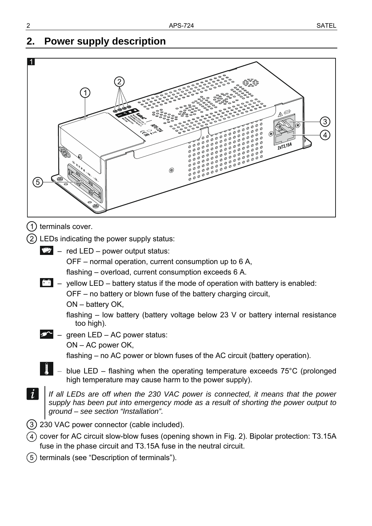## **2. Power supply description**

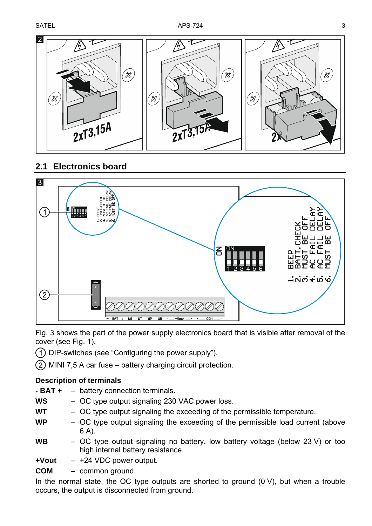

#### **2.1 Electronics board**



Fig. 3 shows the part of the power supply electronics board that is visible after removal of the cover (see Fig. 1).

- DIP-switches (see ["Configuring the power supply](#page-5-0)").
- $(2)$  MINI 7,5 A car fuse battery charging circuit protection.

#### <span id="page-4-0"></span>**Description of terminals**

- **BAT +**  battery connection terminals.
- **WS**  OC type output signaling 230 VAC power loss.
- **WT**  OC type output signaling the exceeding of the permissible temperature.
- **WP**  OC type output signaling the exceeding of the permissible load current (above 6 A).
- **WB**  OC type output signaling no battery, low battery voltage (below 23 V) or too high internal battery resistance.
- **+Vout**  +24 VDC power output.
- **COM**  common ground.

In the normal state, the OC type outputs are shorted to ground  $(0 V)$ , but when a trouble occurs, the output is disconnected from ground.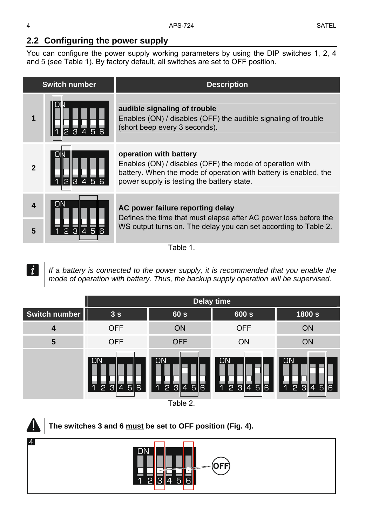#### <span id="page-5-0"></span>**2.2 Configuring the power supply**

You can configure the power supply working parameters by using the DIP switches 1, 2, 4 and 5 (see Table 1). By factory default, all switches are set to OFF position.

| <b>Switch number</b>    |                                                    | <b>Description</b>                                                                                                                                                                                   |
|-------------------------|----------------------------------------------------|------------------------------------------------------------------------------------------------------------------------------------------------------------------------------------------------------|
| 1                       | 2 <sub>3</sub><br>$\overline{5}$<br>$\overline{4}$ | audible signaling of trouble<br>Enables (ON) / disables (OFF) the audible signaling of trouble<br>(short beep every 3 seconds).                                                                      |
| $\mathbf{2}$            | OIN<br>$5\phantom{1}$<br>2 34                      | operation with battery<br>Enables (ON) / disables (OFF) the mode of operation with<br>battery. When the mode of operation with battery is enabled, the<br>power supply is testing the battery state. |
| $\overline{\mathbf{4}}$ | ON                                                 | AC power failure reporting delay<br>Defines the time that must elapse after AC power loss before the                                                                                                 |
| 5                       | 3∥45                                               | WS output turns on. The delay you can set according to Table 2.                                                                                                                                      |

Table 1.

*If a battery is connected to the power supply, it is recommended that you enable the mode of operation with battery. Thus, the backup supply operation will be supervised.* 



**The switches 3 and 6 must be set to OFF position (Fig. 4).** 



 $\tilde{l}$ 

41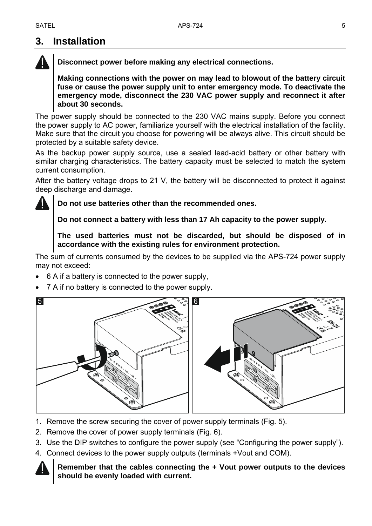### <span id="page-6-0"></span>**3. Installation**



**Making connections with the power on may lead to blowout of the battery circuit fuse or cause the power supply unit to enter emergency mode. To deactivate the emergency mode, disconnect the 230 VAC power supply and reconnect it after about 30 seconds.** 

The power supply should be connected to the 230 VAC mains supply. Before you connect the power supply to AC power, familiarize yourself with the electrical installation of the facility. Make sure that the circuit you choose for powering will be always alive. This circuit should be protected by a suitable safety device.

As the backup power supply source, use a sealed lead-acid battery or other battery with similar charging characteristics. The battery capacity must be selected to match the system current consumption.

After the battery voltage drops to 21 V, the battery will be disconnected to protect it against deep discharge and damage.

**Do not use batteries other than the recommended ones.** 

**Do not connect a battery with less than 17 Ah capacity to the power supply.** 

**The used batteries must not be discarded, but should be disposed of in accordance with the existing rules for environment protection.** 

The sum of currents consumed by the devices to be supplied via the APS-724 power supply may not exceed:

- 6 A if a battery is connected to the power supply,
- 7 A if no battery is connected to the power supply.



- 1. Remove the screw securing the cover of power supply terminals (Fig. 5).
- 2. Remove the cover of power supply terminals (Fig. 6).
- 3. Use the DIP switches to configure the power supply (see "[Configuring the power supply](#page-5-0)").
- 4. Connect devices to the power supply outputs (terminals +Vout and COM).



**Remember that the cables connecting the + Vout power outputs to the devices should be evenly loaded with current.**